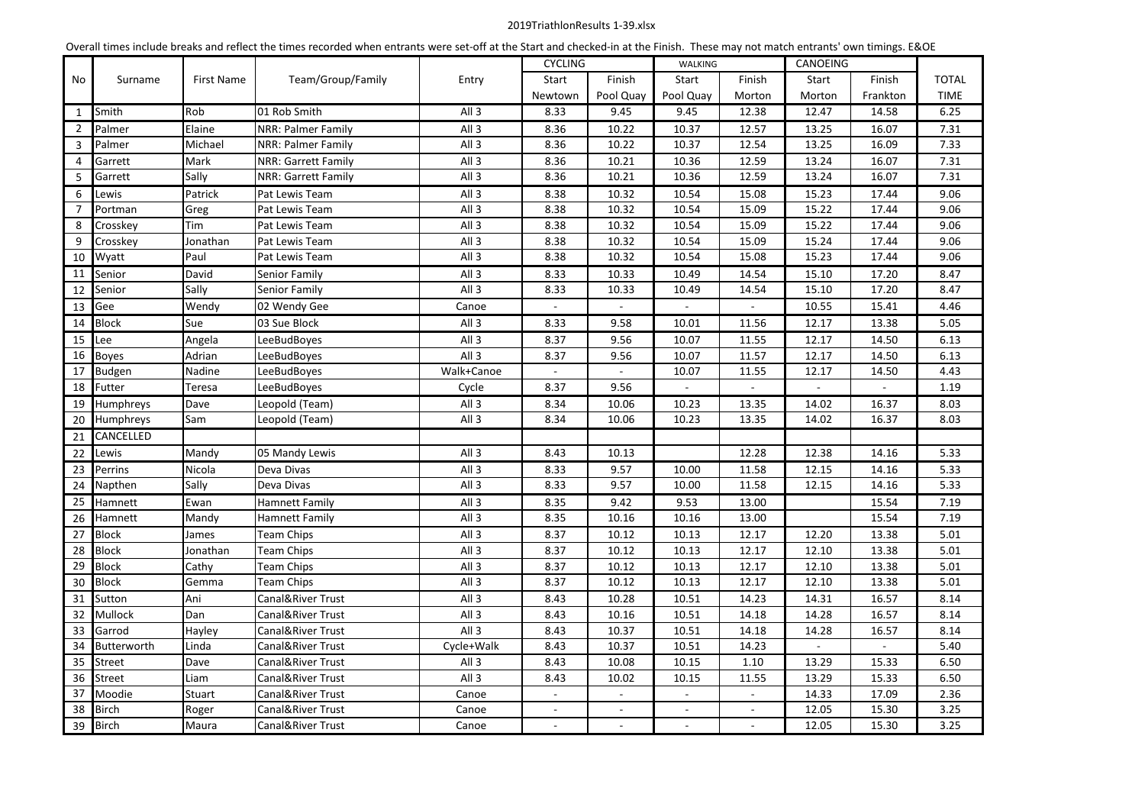# 2019TriathlonResults 1-39.xlsx

|                | Overall times include breaks and reflect the times recorded when entrants were set-off at the Start and checked-in at the Finish. These may not match entrants' own timings. E&OE |                   |                     |                  |         |                |                             |                           |                             |                           |              |
|----------------|-----------------------------------------------------------------------------------------------------------------------------------------------------------------------------------|-------------------|---------------------|------------------|---------|----------------|-----------------------------|---------------------------|-----------------------------|---------------------------|--------------|
|                | Surname                                                                                                                                                                           |                   | Team/Group/Family   | Entry            |         | <b>CYCLING</b> |                             |                           | CANOEING                    |                           |              |
| No             |                                                                                                                                                                                   | <b>First Name</b> |                     |                  | Start   | Finish         | Start                       | Finish                    | Start                       | Finish                    | <b>TOTAL</b> |
|                |                                                                                                                                                                                   |                   |                     |                  | Newtown | Pool Quay      | Pool Quay                   | Morton                    | Morton                      | Frankton                  | <b>TIME</b>  |
| $\mathbf{1}$   | Smith                                                                                                                                                                             | Rob               | 01 Rob Smith        | All <sub>3</sub> | 8.33    | 9.45           | 9.45                        | 12.38                     | 12.47                       | 14.58                     | 6.25         |
| 2              | Palmer                                                                                                                                                                            | Elaine            | NRR: Palmer Family  | All <sub>3</sub> | 8.36    | 10.22          | 10.37                       | 12.57                     | 13.25                       | 16.07                     | 7.31         |
| 3              | Palmer                                                                                                                                                                            | Michael           | NRR: Palmer Family  | All <sub>3</sub> | 8.36    | 10.22          | 10.37                       | 12.54                     | 13.25                       | 16.09                     | 7.33         |
| 4              | Garrett                                                                                                                                                                           | Mark              | NRR: Garrett Family | All 3            | 8.36    | 10.21          | 10.36                       | 12.59                     | 13.24                       | 16.07                     | 7.31         |
| 5              | Garrett                                                                                                                                                                           | Sally             | NRR: Garrett Family | All <sub>3</sub> | 8.36    | 10.21          | 10.36                       | 12.59                     | 13.24                       | 16.07                     | 7.31         |
| 6              | Lewis                                                                                                                                                                             | Patrick           | Pat Lewis Team      | All <sub>3</sub> | 8.38    | 10.32          | 10.54                       | 15.08                     | 15.23                       | 17.44                     | 9.06         |
| $\overline{7}$ | Portman                                                                                                                                                                           | Greg              | Pat Lewis Team      | All <sub>3</sub> | 8.38    | 10.32          | 10.54                       | 15.09                     | 15.22                       | 17.44                     | 9.06         |
| 8              | Crosskey                                                                                                                                                                          | Tim               | Pat Lewis Team      | All <sub>3</sub> | 8.38    | 10.32          | 10.54                       | 15.09                     | 15.22                       | 17.44                     | 9.06         |
| 9              | Crosskey                                                                                                                                                                          | Jonathan          | Pat Lewis Team      | All <sub>3</sub> | 8.38    | 10.32          | 10.54                       | 15.09                     | 15.24                       | 17.44                     | 9.06         |
| 10             | Wyatt                                                                                                                                                                             | Paul              | Pat Lewis Team      | All <sub>3</sub> | 8.38    | 10.32          | 10.54                       | 15.08                     | 15.23                       | 17.44                     | 9.06         |
| 11             | Senior                                                                                                                                                                            | David             | Senior Family       | All <sub>3</sub> | 8.33    | 10.33          | 10.49                       | 14.54                     | 15.10                       | 17.20                     | 8.47         |
| 12             | Senior                                                                                                                                                                            | Sally             | Senior Family       | All 3            | 8.33    | 10.33          | 10.49                       | 14.54                     | 15.10                       | 17.20                     | 8.47         |
| 13             | Gee                                                                                                                                                                               | Wendy             | 02 Wendy Gee        | Canoe            |         |                |                             |                           | 10.55                       | 15.41                     | 4.46         |
| 14             | <b>Block</b>                                                                                                                                                                      | Sue               | 03 Sue Block        | All <sub>3</sub> | 8.33    | 9.58           | 10.01                       | 11.56                     | 12.17                       | 13.38                     | 5.05         |
| 15             | Lee                                                                                                                                                                               | Angela            | LeeBudBoyes         | All <sub>3</sub> | 8.37    | 9.56           | 10.07                       | 11.55                     | 12.17                       | 14.50                     | 6.13         |
| 16             | <b>Boyes</b>                                                                                                                                                                      | Adrian            | LeeBudBoyes         | All <sub>3</sub> | 8.37    | 9.56           | 10.07                       | 11.57                     | 12.17                       | 14.50                     | 6.13         |
| 17             | Budgen                                                                                                                                                                            | Nadine            | LeeBudBoyes         | Walk+Canoe       |         |                | 10.07                       | 11.55                     | 12.17                       | 14.50                     | 4.43         |
| 18             | Futter                                                                                                                                                                            | Teresa            | LeeBudBoyes         | Cycle            | 8.37    | 9.56           | $\mathcal{L}^{\mathcal{A}}$ | $\mathbb{Z}^{\mathbb{Z}}$ | $\mathcal{L}^{\mathcal{A}}$ | $\mathbb{Z}^{\mathbb{Z}}$ | 1.19         |
| 19             | Humphreys                                                                                                                                                                         | Dave              | Leopold (Team)      | All 3            | 8.34    | 10.06          | 10.23                       | 13.35                     | 14.02                       | 16.37                     | 8.03         |
| 20             | Humphreys                                                                                                                                                                         | Sam               | Leopold (Team)      | All 3            | 8.34    | 10.06          | 10.23                       | 13.35                     | 14.02                       | 16.37                     | 8.03         |
| 21             | CANCELLED                                                                                                                                                                         |                   |                     |                  |         |                |                             |                           |                             |                           |              |
| 22             | Lewis                                                                                                                                                                             | Mandy             | 05 Mandy Lewis      | All <sub>3</sub> | 8.43    | 10.13          |                             | 12.28                     | 12.38                       | 14.16                     | 5.33         |
| 23             | Perrins                                                                                                                                                                           | Nicola            | Deva Divas          | All 3            | 8.33    | 9.57           | 10.00                       | 11.58                     | 12.15                       | 14.16                     | 5.33         |
| 24             | Napthen                                                                                                                                                                           | Sally             | Deva Divas          | All 3            | 8.33    | 9.57           | 10.00                       | 11.58                     | 12.15                       | 14.16                     | 5.33         |
| 25             | Hamnett                                                                                                                                                                           | Ewan              | Hamnett Family      | All 3            | 8.35    | 9.42           | 9.53                        | 13.00                     |                             | 15.54                     | 7.19         |
| 26             | Hamnett                                                                                                                                                                           | Mandy             | Hamnett Family      | All 3            | 8.35    | 10.16          | 10.16                       | 13.00                     |                             | 15.54                     | 7.19         |
| 27             | <b>Block</b>                                                                                                                                                                      | James             | <b>Team Chips</b>   | All 3            | 8.37    | 10.12          | 10.13                       | 12.17                     | 12.20                       | 13.38                     | 5.01         |
| 28             | <b>Block</b>                                                                                                                                                                      | Jonathan          | Team Chips          | All 3            | 8.37    | 10.12          | 10.13                       | 12.17                     | 12.10                       | 13.38                     | 5.01         |
| 29             | <b>Block</b>                                                                                                                                                                      | Cathy             | <b>Team Chips</b>   | All <sub>3</sub> | 8.37    | 10.12          | 10.13                       | 12.17                     | 12.10                       | 13.38                     | 5.01         |
| 30             | <b>Block</b>                                                                                                                                                                      | Gemma             | <b>Team Chips</b>   | All <sub>3</sub> | 8.37    | 10.12          | 10.13                       | 12.17                     | 12.10                       | 13.38                     | 5.01         |
| 31             | Sutton                                                                                                                                                                            | Ani               | Canal&River Trust   | All <sub>3</sub> | 8.43    | 10.28          | 10.51                       | 14.23                     | 14.31                       | 16.57                     | 8.14         |
| 32             | Mullock                                                                                                                                                                           | Dan               | Canal&River Trust   | All <sub>3</sub> | 8.43    | 10.16          | 10.51                       | 14.18                     | 14.28                       | 16.57                     | 8.14         |
| 33             | Garrod                                                                                                                                                                            | Hayley            | Canal&River Trust   | All <sub>3</sub> | 8.43    | 10.37          | 10.51                       | 14.18                     | 14.28                       | 16.57                     | 8.14         |
| 34             | Butterworth                                                                                                                                                                       | Linda             | Canal&River Trust   | Cycle+Walk       | 8.43    | 10.37          | 10.51                       | 14.23                     | $\blacksquare$              | $\overline{\phantom{a}}$  | 5.40         |
| 35             | Street                                                                                                                                                                            | Dave              | Canal&River Trust   | All 3            | 8.43    | 10.08          | 10.15                       | 1.10                      | 13.29                       | 15.33                     | 6.50         |
| 36             | Street                                                                                                                                                                            | Liam              | Canal&River Trust   | All <sub>3</sub> | 8.43    | 10.02          | 10.15                       | 11.55                     | 13.29                       | 15.33                     | 6.50         |
| 37             | Moodie                                                                                                                                                                            | Stuart            | Canal&River Trust   | Canoe            | $\sim$  | $\sim$         | $\sim$                      | $\sim$                    | 14.33                       | 17.09                     | 2.36         |
| 38             | <b>Birch</b>                                                                                                                                                                      | Roger             | Canal&River Trust   | Canoe            | $\sim$  | $\blacksquare$ | $\sim$                      | $\blacksquare$            | 12.05                       | 15.30                     | 3.25         |
| 39             | <b>Birch</b>                                                                                                                                                                      | Maura             | Canal&River Trust   | Canoe            |         |                |                             |                           | 12.05                       | 15.30                     | 3.25         |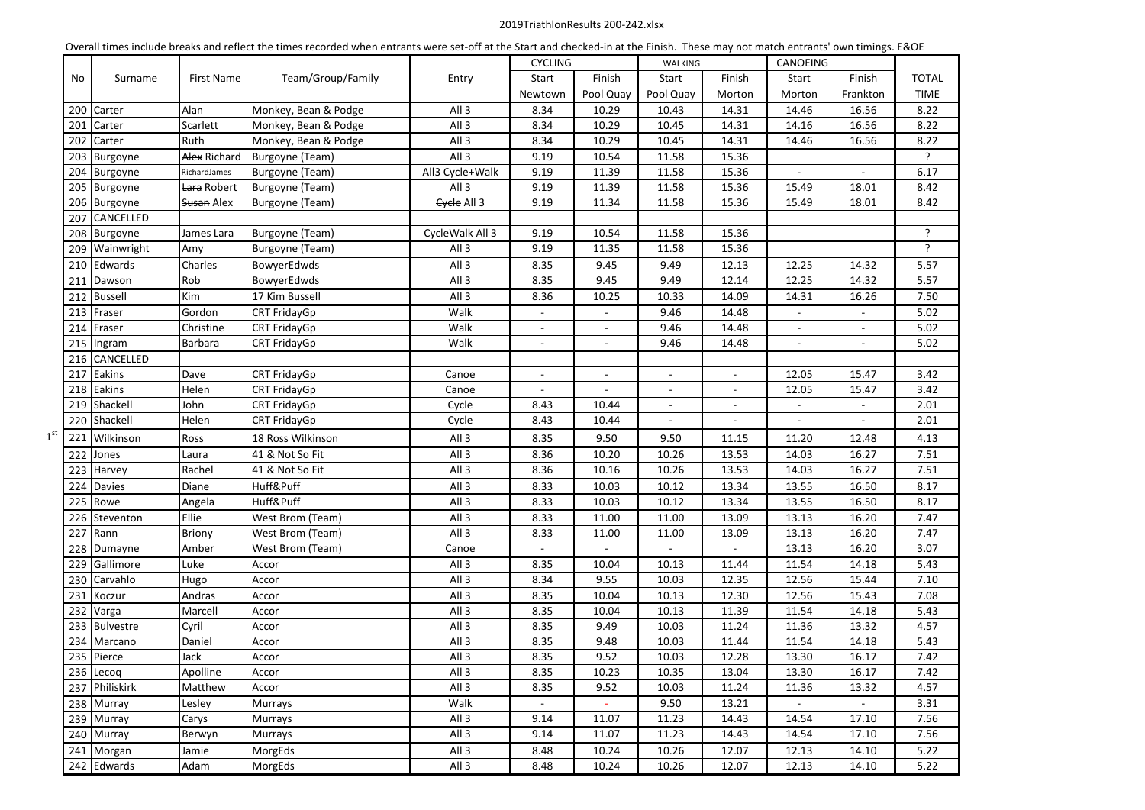#### 2019TriathlonResults 200-242.xlsx

|                 |     |                |                       | Overall thries include breaks and reflect the times recorded when entrants were set-on at the start and checked-in at the rimsh. These may not match entrants Own timings. EQUE |                  | <b>CYCLING</b>           |                | WALKING                  |                          | CANOEING                 |                          |              |
|-----------------|-----|----------------|-----------------------|---------------------------------------------------------------------------------------------------------------------------------------------------------------------------------|------------------|--------------------------|----------------|--------------------------|--------------------------|--------------------------|--------------------------|--------------|
|                 |     | Surname        | First Name            | Team/Group/Family                                                                                                                                                               |                  | Start                    | Finish         | Start                    | Finish                   | Start                    | Finish                   | <b>TOTAL</b> |
|                 | No  |                |                       |                                                                                                                                                                                 | Entry            |                          |                |                          |                          |                          | Frankton                 | <b>TIME</b>  |
|                 |     |                | Alan                  |                                                                                                                                                                                 |                  | Newtown<br>8.34          | Pool Quay      | Pool Quay                | Morton                   | Morton                   |                          | 8.22         |
|                 |     | 200 Carter     |                       | Monkey, Bean & Podge                                                                                                                                                            | All <sub>3</sub> |                          | 10.29<br>10.29 | 10.43                    | 14.31                    | 14.46                    | 16.56                    |              |
|                 | 201 | Carter         | Scarlett              | Monkey, Bean & Podge                                                                                                                                                            | All <sub>3</sub> | 8.34                     |                | 10.45                    | 14.31                    | 14.16                    | 16.56                    | 8.22         |
|                 | 202 | Carter         | Ruth                  | Monkey, Bean & Podge                                                                                                                                                            | All <sub>3</sub> | 8.34                     | 10.29          | 10.45                    | 14.31                    | 14.46                    | 16.56                    | 8.22         |
|                 |     | 203 Burgoyne   | Alex Richard          | Burgoyne (Team)                                                                                                                                                                 | All <sub>3</sub> | 9.19                     | 10.54          | 11.58                    | 15.36                    |                          |                          | ?            |
|                 |     | 204 Burgoyne   | RichardJames          | Burgoyne (Team)                                                                                                                                                                 | All3 Cycle+Walk  | 9.19                     | 11.39          | 11.58                    | 15.36                    | $\blacksquare$           |                          | 6.17         |
|                 |     | 205 Burgoyne   | Lara Robert           | Burgoyne (Team)                                                                                                                                                                 | All <sub>3</sub> | 9.19                     | 11.39          | 11.58                    | 15.36                    | 15.49                    | 18.01                    | 8.42         |
|                 |     | 206 Burgoyne   | Susan Alex            | Burgoyne (Team)                                                                                                                                                                 | Cycle All 3      | 9.19                     | 11.34          | 11.58                    | 15.36                    | 15.49                    | 18.01                    | 8.42         |
|                 |     | 207 CANCELLED  |                       |                                                                                                                                                                                 |                  |                          |                |                          |                          |                          |                          |              |
|                 |     | 208 Burgoyne   | <del>James</del> Lara | Burgoyne (Team)                                                                                                                                                                 | EycleWalk All 3  | 9.19                     | 10.54          | 11.58                    | 15.36                    |                          |                          | ?            |
|                 |     | 209 Wainwright | Amy                   | Burgoyne (Team)                                                                                                                                                                 | All <sub>3</sub> | 9.19                     | 11.35          | 11.58                    | 15.36                    |                          |                          | ?            |
|                 |     | 210 Edwards    | Charles               | BowyerEdwds                                                                                                                                                                     | All <sub>3</sub> | 8.35                     | 9.45           | 9.49                     | 12.13                    | 12.25                    | 14.32                    | 5.57         |
|                 |     | 211 Dawson     | Rob                   | BowyerEdwds                                                                                                                                                                     | All <sub>3</sub> | 8.35                     | 9.45           | 9.49                     | 12.14                    | 12.25                    | 14.32                    | 5.57         |
|                 |     | 212 Bussell    | Kim                   | 17 Kim Bussell                                                                                                                                                                  | All <sub>3</sub> | 8.36                     | 10.25          | 10.33                    | 14.09                    | 14.31                    | 16.26                    | 7.50         |
|                 |     | 213 Fraser     | Gordon                | CRT FridayGp                                                                                                                                                                    | Walk             | $\overline{\phantom{a}}$ | $\blacksquare$ | 9.46                     | 14.48                    | $\blacksquare$           | $\overline{\phantom{a}}$ | 5.02         |
|                 | 214 | Fraser         | Christine             | <b>CRT FridayGp</b>                                                                                                                                                             | Walk             |                          |                | 9.46                     | 14.48                    |                          |                          | 5.02         |
|                 |     | 215 Ingram     | Barbara               | CRT FridayGp                                                                                                                                                                    | Walk             | $\overline{\phantom{a}}$ |                | 9.46                     | 14.48                    | $\overline{\phantom{a}}$ |                          | 5.02         |
|                 |     | 216 CANCELLED  |                       |                                                                                                                                                                                 |                  |                          |                |                          |                          |                          |                          |              |
|                 |     | 217 Eakins     | Dave                  | <b>CRT FridayGp</b>                                                                                                                                                             | Canoe            |                          |                |                          |                          | 12.05                    | 15.47                    | 3.42         |
|                 |     | 218 Eakins     | Helen                 | CRT FridayGp                                                                                                                                                                    | Canoe            |                          |                |                          |                          | 12.05                    | 15.47                    | 3.42         |
|                 |     | 219 Shackell   | John                  | CRT FridayGp                                                                                                                                                                    | Cycle            | 8.43                     | 10.44          | $\overline{\phantom{a}}$ | $\sim$                   | $\sim$                   | $\sim$                   | 2.01         |
|                 |     | 220 Shackell   | Helen                 | CRT FridayGp                                                                                                                                                                    | Cycle            | 8.43                     | 10.44          | $\blacksquare$           | $\overline{\phantom{a}}$ | $\overline{\phantom{a}}$ |                          | 2.01         |
| 1 <sup>st</sup> |     | 221 Wilkinson  | Ross                  | 18 Ross Wilkinson                                                                                                                                                               | All <sub>3</sub> | 8.35                     | 9.50           | 9.50                     | 11.15                    | 11.20                    | 12.48                    | 4.13         |
|                 |     | 222 Jones      | Laura                 | 41 & Not So Fit                                                                                                                                                                 | All <sub>3</sub> | 8.36                     | 10.20          | 10.26                    | 13.53                    | 14.03                    | 16.27                    | 7.51         |
|                 |     | 223 Harvey     | Rachel                | 41 & Not So Fit                                                                                                                                                                 | All <sub>3</sub> | 8.36                     | 10.16          | 10.26                    | 13.53                    | 14.03                    | 16.27                    | 7.51         |
|                 |     | 224 Davies     | Diane                 | Huff&Puff                                                                                                                                                                       | All <sub>3</sub> | 8.33                     | 10.03          | 10.12                    | 13.34                    | 13.55                    | 16.50                    | 8.17         |
|                 |     | 225 Rowe       | Angela                | Huff&Puff                                                                                                                                                                       | All <sub>3</sub> | 8.33                     | 10.03          | 10.12                    | 13.34                    | 13.55                    | 16.50                    | 8.17         |
|                 |     | 226 Steventon  | Ellie                 | West Brom (Team)                                                                                                                                                                | All <sub>3</sub> | 8.33                     | 11.00          | 11.00                    | 13.09                    | 13.13                    | 16.20                    | 7.47         |
|                 | 227 | Rann           | Briony                | West Brom (Team)                                                                                                                                                                | All <sub>3</sub> | 8.33                     | 11.00          | 11.00                    | 13.09                    | 13.13                    | 16.20                    | 7.47         |
|                 |     | 228 Dumayne    | Amber                 | West Brom (Team)                                                                                                                                                                | Canoe            |                          |                |                          |                          | 13.13                    | 16.20                    | 3.07         |
|                 |     | 229 Gallimore  | Luke                  | Accor                                                                                                                                                                           | All <sub>3</sub> | 8.35                     | 10.04          | 10.13                    | 11.44                    | 11.54                    | 14.18                    | 5.43         |
|                 |     | 230 Carvahlo   | Hugo                  | Accor                                                                                                                                                                           | All <sub>3</sub> | 8.34                     | 9.55           | 10.03                    | 12.35                    | 12.56                    | 15.44                    | 7.10         |
|                 |     | 231 Koczur     | Andras                | Accor                                                                                                                                                                           | All <sub>3</sub> | 8.35                     | 10.04          | 10.13                    | 12.30                    | 12.56                    | 15.43                    | 7.08         |
|                 |     | 232 Varga      | Marcell               | Accor                                                                                                                                                                           | All <sub>3</sub> | 8.35                     | 10.04          | 10.13                    | 11.39                    | 11.54                    | 14.18                    | 5.43         |
|                 |     | 233 Bulvestre  | Cyril                 | Accor                                                                                                                                                                           | All <sub>3</sub> | 8.35                     | 9.49           | 10.03                    | 11.24                    | 11.36                    | 13.32                    | 4.57         |
|                 |     | 234 Marcano    | Daniel                | Accor                                                                                                                                                                           | All <sub>3</sub> | 8.35                     | 9.48           | 10.03                    | 11.44                    | 11.54                    | 14.18                    | 5.43         |
|                 |     | 235 Pierce     | Jack                  | Accor                                                                                                                                                                           | All 3            | 8.35                     | 9.52           | 10.03                    | 12.28                    | 13.30                    | 16.17                    | 7.42         |
|                 |     | 236 Lecog      | Apolline              | Accor                                                                                                                                                                           | All <sub>3</sub> | 8.35                     | 10.23          | 10.35                    | 13.04                    | 13.30                    | 16.17                    | 7.42         |
|                 |     | 237 Philiskirk | Matthew               | Accor                                                                                                                                                                           | All <sub>3</sub> | 8.35                     | 9.52           | 10.03                    | 11.24                    | 11.36                    | 13.32                    | 4.57         |
|                 |     | 238 Murray     | Lesley                | Murrays                                                                                                                                                                         | Walk             | $\sim$                   | $\sim$         | 9.50                     | 13.21                    | $\sim$                   | $\sim$                   | 3.31         |
|                 |     | 239 Murray     | Carys                 | Murrays                                                                                                                                                                         | All <sub>3</sub> | 9.14                     | 11.07          | 11.23                    | 14.43                    | 14.54                    | 17.10                    | 7.56         |
|                 |     | 240 Murray     | Berwyn                | Murrays                                                                                                                                                                         | All <sub>3</sub> | 9.14                     | 11.07          | 11.23                    | 14.43                    | 14.54                    | 17.10                    | 7.56         |
|                 |     | 241 Morgan     | Jamie                 | MorgEds                                                                                                                                                                         | All 3            | 8.48                     | 10.24          | 10.26                    | 12.07                    | 12.13                    | 14.10                    | 5.22         |
|                 |     | 242 Edwards    | Adam                  | MorgEds                                                                                                                                                                         | All <sub>3</sub> | 8.48                     | 10.24          | 10.26                    | 12.07                    | 12.13                    | 14.10                    | 5.22         |

Overall times include breaks and reflect the times recorded when entrants were set-off at the Start and checked-in at the Finish. These may not match entrants' own timings. E&OE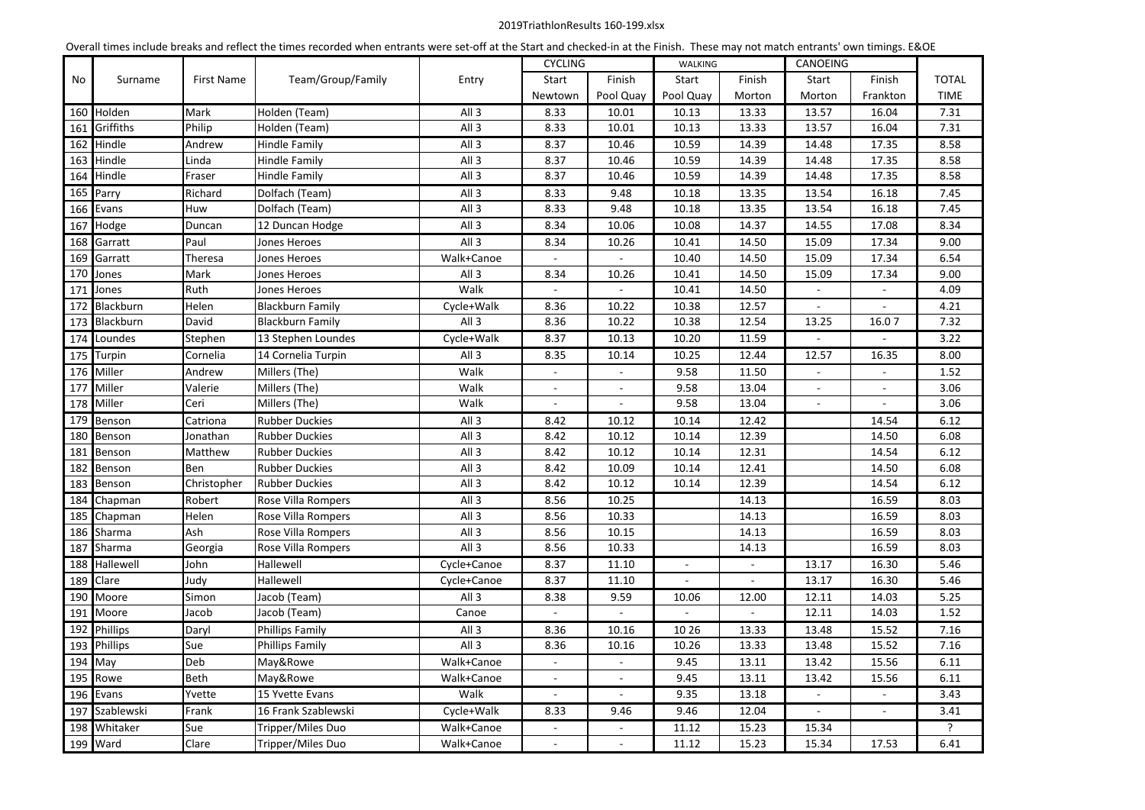# 2019TriathlonResults 160-199.xlsx

| Overall times include breaks and reflect the times recorded when entrants were set-off at the Start and checked-in at the Finish. These may not match entrants' own timings. E&OE |                      |             |                         |                  |                          |                             |                          |                          |                |                          |              |
|-----------------------------------------------------------------------------------------------------------------------------------------------------------------------------------|----------------------|-------------|-------------------------|------------------|--------------------------|-----------------------------|--------------------------|--------------------------|----------------|--------------------------|--------------|
|                                                                                                                                                                                   |                      |             |                         |                  | <b>CYCLING</b>           |                             | <b>WALKING</b>           |                          | CANOEING       |                          |              |
| No                                                                                                                                                                                | Surname              | First Name  | Team/Group/Family       | Entry            | Start                    | Finish                      | Start                    | Finish                   | Start          | Finish                   | <b>TOTAL</b> |
|                                                                                                                                                                                   |                      |             |                         |                  | Newtown                  | Pool Quay                   | Pool Quay                | Morton                   | Morton         | Frankton                 | <b>TIME</b>  |
| 160                                                                                                                                                                               | Holden               | Mark        | Holden (Team)           | All <sub>3</sub> | 8.33                     | 10.01                       | 10.13                    | 13.33                    | 13.57          | 16.04                    | 7.31         |
| 161                                                                                                                                                                               | Griffiths            | Philip      | Holden (Team)           | All <sub>3</sub> | 8.33                     | 10.01                       | 10.13                    | 13.33                    | 13.57          | 16.04                    | 7.31         |
| 162                                                                                                                                                                               | Hindle               | Andrew      | <b>Hindle Family</b>    | All 3            | 8.37                     | 10.46                       | 10.59                    | 14.39                    | 14.48          | 17.35                    | 8.58         |
| 163                                                                                                                                                                               | Hindle               | Linda       | Hindle Family           | All 3            | 8.37                     | 10.46                       | 10.59                    | 14.39                    | 14.48          | 17.35                    | 8.58         |
| 164                                                                                                                                                                               | Hindle               | Fraser      | Hindle Family           | All 3            | 8.37                     | 10.46                       | 10.59                    | 14.39                    | 14.48          | 17.35                    | 8.58         |
|                                                                                                                                                                                   | 165 Parry            | Richard     | Dolfach (Team)          | All <sub>3</sub> | 8.33                     | 9.48                        | 10.18                    | 13.35                    | 13.54          | 16.18                    | 7.45         |
|                                                                                                                                                                                   | 166 Evans            | Huw         | Dolfach (Team)          | All <sub>3</sub> | 8.33                     | 9.48                        | 10.18                    | 13.35                    | 13.54          | 16.18                    | 7.45         |
| 167                                                                                                                                                                               | Hodge                | Duncan      | 12 Duncan Hodge         | All 3            | 8.34                     | 10.06                       | 10.08                    | 14.37                    | 14.55          | 17.08                    | 8.34         |
|                                                                                                                                                                                   | 168 Garratt          | Paul        | Jones Heroes            | All 3            | 8.34                     | 10.26                       | 10.41                    | 14.50                    | 15.09          | 17.34                    | 9.00         |
|                                                                                                                                                                                   | 169 Garratt          | Theresa     | Jones Heroes            | Walk+Canoe       |                          |                             | 10.40                    | 14.50                    | 15.09          | 17.34                    | 6.54         |
|                                                                                                                                                                                   | 170 Jones            | Mark        | Jones Heroes            | All <sub>3</sub> | 8.34                     | 10.26                       | 10.41                    | 14.50                    | 15.09          | 17.34                    | 9.00         |
|                                                                                                                                                                                   | 171 Jones            | Ruth        | Jones Heroes            | Walk             |                          |                             | 10.41                    | 14.50                    |                |                          | 4.09         |
|                                                                                                                                                                                   | 172 Blackburn        | Helen       | <b>Blackburn Family</b> | Cycle+Walk       | 8.36                     | 10.22                       | 10.38                    | 12.57                    |                |                          | 4.21         |
|                                                                                                                                                                                   | 173 Blackburn        | David       | <b>Blackburn Family</b> | All <sub>3</sub> | 8.36                     | 10.22                       | 10.38                    | 12.54                    | 13.25          | 16.07                    | 7.32         |
|                                                                                                                                                                                   | 174 Loundes          | Stephen     | 13 Stephen Loundes      | Cycle+Walk       | 8.37                     | 10.13                       | 10.20                    | 11.59                    | $\overline{a}$ |                          | 3.22         |
|                                                                                                                                                                                   | 175 Turpin           | Cornelia    | 14 Cornelia Turpin      | All <sub>3</sub> | 8.35                     | 10.14                       | 10.25                    | 12.44                    | 12.57          | 16.35                    | 8.00         |
|                                                                                                                                                                                   | 176 Miller           | Andrew      | Millers (The)           | Walk             |                          |                             | 9.58                     | 11.50                    |                |                          | 1.52         |
| 177                                                                                                                                                                               | Miller               | Valerie     | Millers (The)           | Walk             |                          | $\sim$                      | 9.58                     | 13.04                    | $\overline{a}$ |                          | 3.06         |
|                                                                                                                                                                                   | 178 Miller           | Ceri        | Millers (The)           | Walk             | $\blacksquare$           | ÷,                          | 9.58                     | 13.04                    | $\overline{a}$ |                          | 3.06         |
| 179                                                                                                                                                                               | Benson               | Catriona    | <b>Rubber Duckies</b>   | All <sub>3</sub> | 8.42                     | 10.12                       | 10.14                    | 12.42                    |                | 14.54                    | 6.12         |
| 180                                                                                                                                                                               | Benson               | Jonathan    | <b>Rubber Duckies</b>   | All <sub>3</sub> | 8.42                     | 10.12                       | 10.14                    | 12.39                    |                | 14.50                    | 6.08         |
| 181                                                                                                                                                                               | Benson               | Matthew     | <b>Rubber Duckies</b>   | All 3            | 8.42                     | 10.12                       | 10.14                    | 12.31                    |                | 14.54                    | 6.12         |
| 182                                                                                                                                                                               | Benson               | Ben         | <b>Rubber Duckies</b>   | All <sub>3</sub> | 8.42                     | 10.09                       | 10.14                    | 12.41                    |                | 14.50                    | 6.08         |
| 183                                                                                                                                                                               | Benson               | Christopher | <b>Rubber Duckies</b>   | All <sub>3</sub> | 8.42                     | 10.12                       | 10.14                    | 12.39                    |                | 14.54                    | 6.12         |
| 184                                                                                                                                                                               | Chapman              | Robert      | Rose Villa Rompers      | All <sub>3</sub> | 8.56                     | 10.25                       |                          | 14.13                    |                | 16.59                    | 8.03         |
| 185                                                                                                                                                                               | Chapman              | Helen       | Rose Villa Rompers      | All <sub>3</sub> | 8.56                     | 10.33                       |                          | 14.13                    |                | 16.59                    | 8.03         |
| 186                                                                                                                                                                               | Sharma               | Ash         | Rose Villa Rompers      | All <sub>3</sub> | 8.56                     | 10.15                       |                          | 14.13                    |                | 16.59                    | 8.03         |
| 187                                                                                                                                                                               | Sharma               | Georgia     | Rose Villa Rompers      | All <sub>3</sub> | 8.56                     | 10.33                       |                          | 14.13                    |                | 16.59                    | 8.03         |
| 188                                                                                                                                                                               | Hallewell            | John        | Hallewell               | Cycle+Canoe      | 8.37                     | 11.10                       | $\blacksquare$           | $\overline{\phantom{a}}$ | 13.17          | 16.30                    | 5.46         |
| 189                                                                                                                                                                               | Clare                | Judy        | Hallewell               | Cycle+Canoe      | 8.37                     | 11.10                       | $\blacksquare$           | $\sim$                   | 13.17          | 16.30                    | 5.46         |
| 190                                                                                                                                                                               | Moore                | Simon       | Jacob (Team)            | All 3            | 8.38                     | 9.59                        | 10.06                    | 12.00                    | 12.11          | 14.03                    | 5.25         |
| 191                                                                                                                                                                               | Moore                | Jacob       | Jacob (Team)            | Canoe            | $\overline{\phantom{a}}$ | $\mathcal{L}_{\mathcal{A}}$ | $\overline{\phantom{a}}$ | $\blacksquare$           | 12.11          | 14.03                    | 1.52         |
|                                                                                                                                                                                   | 192 Phillips         | Daryl       | <b>Phillips Family</b>  | All 3            | 8.36                     | 10.16                       | 10 26                    | 13.33                    | 13.48          | 15.52                    | 7.16         |
|                                                                                                                                                                                   | 193 Phillips         | Sue         | <b>Phillips Family</b>  | All <sub>3</sub> | 8.36                     | 10.16                       | 10.26                    | 13.33                    | 13.48          | 15.52                    | 7.16         |
|                                                                                                                                                                                   | $\overline{194}$ May | Deb         | May&Rowe                | Walk+Canoe       | $\blacksquare$           | $\blacksquare$              | 9.45                     | 13.11                    | 13.42          | 15.56                    | 6.11         |
|                                                                                                                                                                                   | 195 Rowe             | Beth        | May&Rowe                | Walk+Canoe       | $\overline{\phantom{a}}$ | $\blacksquare$              | 9.45                     | 13.11                    | 13.42          | 15.56                    | 6.11         |
|                                                                                                                                                                                   | 196 Evans            | Yvette      | 15 Yvette Evans         | Walk             | $\sim$                   | $\blacksquare$              | 9.35                     | 13.18                    | $\sigma$       | $\overline{\phantom{a}}$ | 3.43         |
| 197                                                                                                                                                                               | Szablewski           | Frank       | 16 Frank Szablewski     | Cycle+Walk       | 8.33                     | 9.46                        | 9.46                     | 12.04                    | $\sim$         | $\overline{\phantom{a}}$ | 3.41         |
| 198                                                                                                                                                                               | Whitaker             | Sue         | Tripper/Miles Duo       | Walk+Canoe       | $\sim$                   | $\sim$                      | 11.12                    | 15.23                    | 15.34          |                          | ?            |
|                                                                                                                                                                                   | 199 Ward             | Clare       | Tripper/Miles Duo       | Walk+Canoe       | $\blacksquare$           | $\blacksquare$              | 11.12                    | 15.23                    | 15.34          | 17.53                    | 6.41         |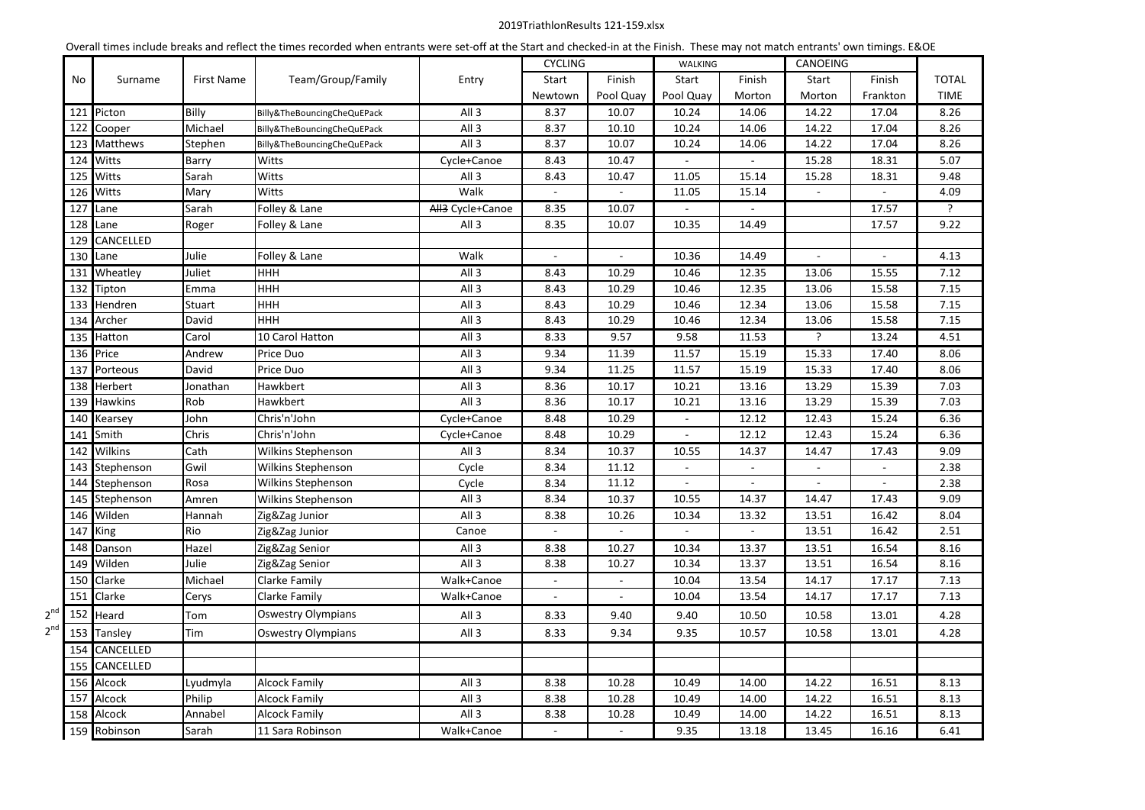### 2019TriathlonResults 121-159.xlsx

|          | Overall times include breaks and reflect the times recorded when entrants were set-off at the Start and checked-in at the Finish. These may not match entrants' own timings. E&OE |            |                             |                              |                          |                          |                |                             |                          |                          |                |
|----------|-----------------------------------------------------------------------------------------------------------------------------------------------------------------------------------|------------|-----------------------------|------------------------------|--------------------------|--------------------------|----------------|-----------------------------|--------------------------|--------------------------|----------------|
|          |                                                                                                                                                                                   | First Name | Team/Group/Family           |                              | <b>CYCLING</b>           |                          | <b>WALKING</b> |                             | <b>CANOEING</b>          |                          |                |
| No       | Surname                                                                                                                                                                           |            |                             | Entry                        | Start                    | Finish                   | Start          | Finish                      | Start                    | Finish                   | <b>TOTAL</b>   |
|          |                                                                                                                                                                                   |            |                             |                              | Newtown                  | Pool Quay                | Pool Quay      | Morton                      | Morton                   | Frankton                 | <b>TIME</b>    |
|          | 121 Picton                                                                                                                                                                        | Billy      | Billy&TheBouncingCheQuEPack | All <sub>3</sub>             | 8.37                     | 10.07                    | 10.24          | 14.06                       | 14.22                    | 17.04                    | 8.26           |
| 122      | Cooper                                                                                                                                                                            | Michael    | Billy&TheBouncingCheQuEPack | All <sub>3</sub>             | 8.37                     | 10.10                    | 10.24          | 14.06                       | 14.22                    | 17.04                    | 8.26           |
|          | 123 Matthews                                                                                                                                                                      | Stephen    | Billy&TheBouncingCheQuEPack | All <sub>3</sub>             | 8.37                     | 10.07                    | 10.24          | 14.06                       | 14.22                    | 17.04                    | 8.26           |
|          | 124 Witts                                                                                                                                                                         | Barry      | Witts                       | Cycle+Canoe                  | 8.43                     | 10.47                    | $\blacksquare$ |                             | 15.28                    | 18.31                    | 5.07           |
| 125      | Witts                                                                                                                                                                             | Sarah      | Witts                       | All <sub>3</sub>             | 8.43                     | 10.47                    | 11.05          | 15.14                       | 15.28                    | 18.31                    | 9.48           |
| 126      | Witts                                                                                                                                                                             | Mary       | Witts                       | Walk                         | $\blacksquare$           |                          | 11.05          | 15.14                       |                          |                          | 4.09           |
| 127      | Lane                                                                                                                                                                              | Sarah      | Folley & Lane               | All <sub>3</sub> Cycle+Canoe | 8.35                     | 10.07                    | $\blacksquare$ | $\sim$                      |                          | 17.57                    | $\overline{?}$ |
| 128      | Lane                                                                                                                                                                              | Roger      | Folley & Lane               | All <sub>3</sub>             | 8.35                     | 10.07                    | 10.35          | 14.49                       |                          | 17.57                    | 9.22           |
| 129      | CANCELLED                                                                                                                                                                         |            |                             |                              |                          |                          |                |                             |                          |                          |                |
|          | 130 Lane                                                                                                                                                                          | Julie      | Folley & Lane               | Walk                         | $\overline{a}$           | $\overline{\phantom{a}}$ | 10.36          | 14.49                       | $\sim$                   | $\blacksquare$           | 4.13           |
|          | 131 Wheatley                                                                                                                                                                      | Juliet     | <b>HHH</b>                  | All <sub>3</sub>             | 8.43                     | 10.29                    | 10.46          | 12.35                       | 13.06                    | 15.55                    | 7.12           |
| 132      | Tipton                                                                                                                                                                            | Emma       | <b>HHH</b>                  | All 3                        | 8.43                     | 10.29                    | 10.46          | 12.35                       | 13.06                    | 15.58                    | 7.15           |
| 133      | Hendren                                                                                                                                                                           | Stuart     | <b>HHH</b>                  | All <sub>3</sub>             | 8.43                     | 10.29                    | 10.46          | 12.34                       | 13.06                    | 15.58                    | 7.15           |
|          | 134 Archer                                                                                                                                                                        | David      | <b>HHH</b>                  | All <sub>3</sub>             | 8.43                     | 10.29                    | 10.46          | 12.34                       | 13.06                    | 15.58                    | 7.15           |
|          | 135 Hatton                                                                                                                                                                        | Carol      | 10 Carol Hatton             | All <sub>3</sub>             | 8.33                     | 9.57                     | 9.58           | 11.53                       | $\mathbf{P}$             | 13.24                    | 4.51           |
| 136      | Price                                                                                                                                                                             | Andrew     | Price Duo                   | All <sub>3</sub>             | 9.34                     | 11.39                    | 11.57          | 15.19                       | 15.33                    | 17.40                    | 8.06           |
|          | 137 Porteous                                                                                                                                                                      | David      | Price Duo                   | All <sub>3</sub>             | 9.34                     | 11.25                    | 11.57          | 15.19                       | 15.33                    | 17.40                    | 8.06           |
|          | 138 Herbert                                                                                                                                                                       | Jonathan   | Hawkbert                    | All <sub>3</sub>             | 8.36                     | 10.17                    | 10.21          | 13.16                       | 13.29                    | 15.39                    | 7.03           |
|          | 139 Hawkins                                                                                                                                                                       | Rob        | Hawkbert                    | All <sub>3</sub>             | 8.36                     | 10.17                    | 10.21          | 13.16                       | 13.29                    | 15.39                    | 7.03           |
|          | 140 Kearsey                                                                                                                                                                       | John       | Chris'n'John                | Cycle+Canoe                  | 8.48                     | 10.29                    | $\blacksquare$ | 12.12                       | 12.43                    | 15.24                    | 6.36           |
|          | 141 Smith                                                                                                                                                                         | Chris      | Chris'n'John                | Cycle+Canoe                  | 8.48                     | 10.29                    | $\sim$         | 12.12                       | 12.43                    | 15.24                    | 6.36           |
|          | 142 Wilkins                                                                                                                                                                       | Cath       | Wilkins Stephenson          | All <sub>3</sub>             | 8.34                     | 10.37                    | 10.55          | 14.37                       | 14.47                    | 17.43                    | 9.09           |
| 143      | Stephenson                                                                                                                                                                        | Gwil       | Wilkins Stephenson          | Cycle                        | 8.34                     | 11.12                    | $\omega$       | $\mathcal{L}^{\mathcal{A}}$ | $\blacksquare$           | ÷.                       | 2.38           |
| 144      | Stephenson                                                                                                                                                                        | Rosa       | Wilkins Stephenson          | Cycle                        | 8.34                     | 11.12                    | $\blacksquare$ | $\overline{\phantom{a}}$    | $\overline{\phantom{a}}$ | $\overline{\phantom{a}}$ | 2.38           |
|          | 145 Stephenson                                                                                                                                                                    | Amren      | Wilkins Stephenson          | All <sub>3</sub>             | 8.34                     | 10.37                    | 10.55          | 14.37                       | 14.47                    | 17.43                    | 9.09           |
|          | 146 Wilden                                                                                                                                                                        | Hannah     | Zig&Zag Junior              | All <sub>3</sub>             | 8.38                     | 10.26                    | 10.34          | 13.32                       | 13.51                    | 16.42                    | 8.04           |
| 147      | King                                                                                                                                                                              | Rio        | Zig&Zag Junior              | Canoe                        | $\blacksquare$           | $\blacksquare$           | $\blacksquare$ | $\blacksquare$              | 13.51                    | 16.42                    | 2.51           |
|          | 148 Danson                                                                                                                                                                        | Hazel      | Zig&Zag Senior              | All 3                        | 8.38                     | 10.27                    | 10.34          | 13.37                       | 13.51                    | 16.54                    | 8.16           |
| 149      | Wilden                                                                                                                                                                            | Julie      | Zig&Zag Senior              | All <sub>3</sub>             | 8.38                     | 10.27                    | 10.34          | 13.37                       | 13.51                    | 16.54                    | 8.16           |
|          | 150 Clarke                                                                                                                                                                        | Michael    | Clarke Family               | Walk+Canoe                   | $\omega$                 | $\equiv$                 | 10.04          | 13.54                       | 14.17                    | 17.17                    | 7.13           |
| 151      | Clarke                                                                                                                                                                            | Cerys      | Clarke Family               | Walk+Canoe                   | $\overline{\phantom{a}}$ | $\overline{\phantom{a}}$ | 10.04          | 13.54                       | 14.17                    | 17.17                    | 7.13           |
|          | 152 Heard                                                                                                                                                                         | Tom        | <b>Oswestry Olympians</b>   | All <sub>3</sub>             | 8.33                     | 9.40                     | 9.40           | 10.50                       | 10.58                    | 13.01                    | 4.28           |
| $2^{nd}$ | 153 Tansley                                                                                                                                                                       | Tim        | <b>Oswestry Olympians</b>   | All <sub>3</sub>             | 8.33                     | 9.34                     | 9.35           | 10.57                       | 10.58                    | 13.01                    | 4.28           |
|          | 154 CANCELLED                                                                                                                                                                     |            |                             |                              |                          |                          |                |                             |                          |                          |                |
| 155      | <b>CANCELLED</b>                                                                                                                                                                  |            |                             |                              |                          |                          |                |                             |                          |                          |                |
|          | 156 Alcock                                                                                                                                                                        | Lyudmyla   | <b>Alcock Family</b>        | All <sub>3</sub>             | 8.38                     | 10.28                    | 10.49          | 14.00                       | 14.22                    | 16.51                    | 8.13           |
|          | 157 Alcock                                                                                                                                                                        | Philip     | <b>Alcock Family</b>        | All <sub>3</sub>             | 8.38                     | 10.28                    | 10.49          | 14.00                       | 14.22                    | 16.51                    | 8.13           |
| 158      | Alcock                                                                                                                                                                            | Annabel    | <b>Alcock Family</b>        | All 3                        | 8.38                     | 10.28                    | 10.49          | 14.00                       | 14.22                    | 16.51                    | 8.13           |
|          | 159 Robinson                                                                                                                                                                      | Sarah      | 11 Sara Robinson            | Walk+Canoe                   |                          |                          | 9.35           | 13.18                       | 13.45                    | 16.16                    | 6.41           |
|          |                                                                                                                                                                                   |            |                             |                              |                          |                          |                |                             |                          |                          |                |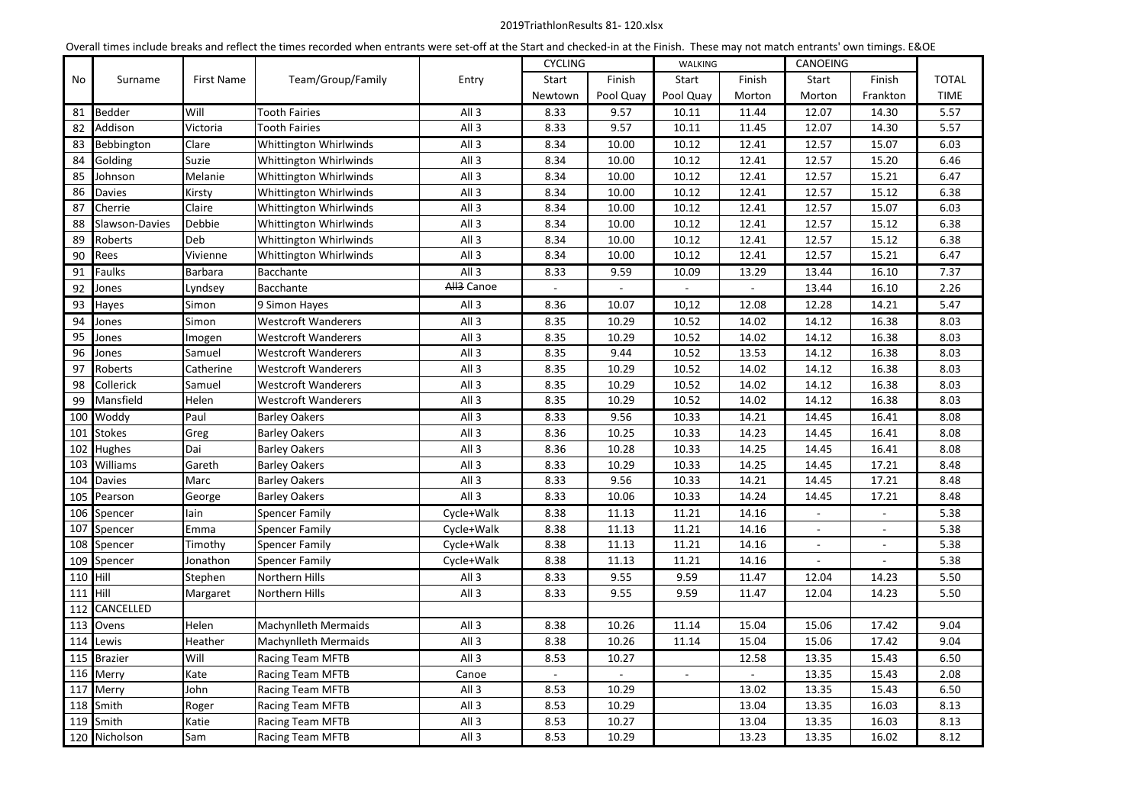# 2019TriathlonResults 81- 120.xlsx

| Overall times include breaks and reflect the times recorded when entrants were set-off at the Start and checked-in at the Finish. These may not match entrants' own timings. E&OE |                |            |                             |                        |                          |                          |                          |                |                          |                          |              |
|-----------------------------------------------------------------------------------------------------------------------------------------------------------------------------------|----------------|------------|-----------------------------|------------------------|--------------------------|--------------------------|--------------------------|----------------|--------------------------|--------------------------|--------------|
|                                                                                                                                                                                   |                |            |                             |                        | <b>CYCLING</b>           |                          | <b>WALKING</b>           |                | CANOEING                 |                          |              |
| No                                                                                                                                                                                | Surname        | First Name | Team/Group/Family           | Entry                  | Start                    | Finish                   | Start                    | Finish         | Start                    | Finish                   | <b>TOTAL</b> |
|                                                                                                                                                                                   |                |            |                             |                        | Newtown                  | Pool Quay                | Pool Quay                | Morton         | Morton                   | Frankton                 | <b>TIME</b>  |
| 81                                                                                                                                                                                | <b>Bedder</b>  | Will       | <b>Tooth Fairies</b>        | All 3                  | 8.33                     | 9.57                     | 10.11                    | 11.44          | 12.07                    | 14.30                    | 5.57         |
| 82                                                                                                                                                                                | Addison        | Victoria   | <b>Tooth Fairies</b>        | All 3                  | 8.33                     | 9.57                     | 10.11                    | 11.45          | 12.07                    | 14.30                    | 5.57         |
| 83                                                                                                                                                                                | Bebbington     | Clare      | Whittington Whirlwinds      | All <sub>3</sub>       | 8.34                     | 10.00                    | 10.12                    | 12.41          | 12.57                    | 15.07                    | 6.03         |
| 84                                                                                                                                                                                | Golding        | Suzie      | Whittington Whirlwinds      | All <sub>3</sub>       | 8.34                     | 10.00                    | 10.12                    | 12.41          | 12.57                    | 15.20                    | 6.46         |
| 85                                                                                                                                                                                | Johnson        | Melanie    | Whittington Whirlwinds      | All 3                  | 8.34                     | 10.00                    | 10.12                    | 12.41          | 12.57                    | 15.21                    | 6.47         |
| 86                                                                                                                                                                                | Davies         | Kirsty     | Whittington Whirlwinds      | All 3                  | 8.34                     | 10.00                    | 10.12                    | 12.41          | 12.57                    | 15.12                    | 6.38         |
| 87                                                                                                                                                                                | Cherrie        | Claire     | Whittington Whirlwinds      | All <sub>3</sub>       | 8.34                     | 10.00                    | 10.12                    | 12.41          | 12.57                    | 15.07                    | 6.03         |
| 88                                                                                                                                                                                | Slawson-Davies | Debbie     | Whittington Whirlwinds      | All 3                  | 8.34                     | 10.00                    | 10.12                    | 12.41          | 12.57                    | 15.12                    | 6.38         |
| 89                                                                                                                                                                                | Roberts        | Deb        | Whittington Whirlwinds      | All <sub>3</sub>       | 8.34                     | 10.00                    | 10.12                    | 12.41          | 12.57                    | 15.12                    | 6.38         |
| 90                                                                                                                                                                                | Rees           | Vivienne   | Whittington Whirlwinds      | All 3                  | 8.34                     | 10.00                    | 10.12                    | 12.41          | 12.57                    | 15.21                    | 6.47         |
| 91                                                                                                                                                                                | <b>Faulks</b>  | Barbara    | Bacchante                   | All <sub>3</sub>       | 8.33                     | 9.59                     | 10.09                    | 13.29          | 13.44                    | 16.10                    | 7.37         |
| 92                                                                                                                                                                                | Jones          | Lyndsey    | <b>Bacchante</b>            | All <sub>3</sub> Canoe | $\overline{\phantom{a}}$ | $\overline{\phantom{a}}$ | $\overline{\phantom{a}}$ | $\blacksquare$ | 13.44                    | 16.10                    | 2.26         |
| 93                                                                                                                                                                                | Hayes          | Simon      | 9 Simon Hayes               | All 3                  | 8.36                     | 10.07                    | 10,12                    | 12.08          | 12.28                    | 14.21                    | 5.47         |
| 94                                                                                                                                                                                | Jones          | Simon      | <b>Westcroft Wanderers</b>  | All <sub>3</sub>       | 8.35                     | 10.29                    | 10.52                    | 14.02          | 14.12                    | 16.38                    | 8.03         |
| 95                                                                                                                                                                                | Jones          | Imogen     | <b>Westcroft Wanderers</b>  | All 3                  | 8.35                     | 10.29                    | 10.52                    | 14.02          | 14.12                    | 16.38                    | 8.03         |
| 96                                                                                                                                                                                | Jones          | Samuel     | <b>Westcroft Wanderers</b>  | All 3                  | 8.35                     | 9.44                     | 10.52                    | 13.53          | 14.12                    | 16.38                    | 8.03         |
| 97                                                                                                                                                                                | Roberts        | Catherine  | <b>Westcroft Wanderers</b>  | All 3                  | 8.35                     | 10.29                    | 10.52                    | 14.02          | 14.12                    | 16.38                    | 8.03         |
| 98                                                                                                                                                                                | Collerick      | Samuel     | <b>Westcroft Wanderers</b>  | All 3                  | 8.35                     | 10.29                    | 10.52                    | 14.02          | 14.12                    | 16.38                    | 8.03         |
| 99                                                                                                                                                                                | Mansfield      | Helen      | <b>Westcroft Wanderers</b>  | All <sub>3</sub>       | 8.35                     | 10.29                    | 10.52                    | 14.02          | 14.12                    | 16.38                    | 8.03         |
| 100                                                                                                                                                                               | Woddy          | Paul       | <b>Barley Oakers</b>        | All 3                  | 8.33                     | 9.56                     | 10.33                    | 14.21          | 14.45                    | 16.41                    | 8.08         |
| 101                                                                                                                                                                               | <b>Stokes</b>  | Greg       | <b>Barley Oakers</b>        | All <sub>3</sub>       | 8.36                     | 10.25                    | 10.33                    | 14.23          | 14.45                    | 16.41                    | 8.08         |
| 102                                                                                                                                                                               | Hughes         | Dai        | <b>Barley Oakers</b>        | All 3                  | 8.36                     | 10.28                    | 10.33                    | 14.25          | 14.45                    | 16.41                    | 8.08         |
| 103                                                                                                                                                                               | Williams       | Gareth     | <b>Barley Oakers</b>        | All <sub>3</sub>       | 8.33                     | 10.29                    | 10.33                    | 14.25          | 14.45                    | 17.21                    | 8.48         |
| 104                                                                                                                                                                               | <b>Davies</b>  | Marc       | <b>Barley Oakers</b>        | All <sub>3</sub>       | 8.33                     | 9.56                     | 10.33                    | 14.21          | 14.45                    | 17.21                    | 8.48         |
| 105                                                                                                                                                                               | Pearson        | George     | <b>Barley Oakers</b>        | All 3                  | 8.33                     | 10.06                    | 10.33                    | 14.24          | 14.45                    | 17.21                    | 8.48         |
| 106                                                                                                                                                                               | Spencer        | lain       | <b>Spencer Family</b>       | Cycle+Walk             | 8.38                     | 11.13                    | 11.21                    | 14.16          | $\overline{\phantom{a}}$ | $\overline{\phantom{a}}$ | 5.38         |
| 107                                                                                                                                                                               | Spencer        | Emma       | <b>Spencer Family</b>       | Cycle+Walk             | 8.38                     | 11.13                    | 11.21                    | 14.16          |                          |                          | 5.38         |
| 108                                                                                                                                                                               | Spencer        | Timothy    | <b>Spencer Family</b>       | Cycle+Walk             | 8.38                     | 11.13                    | 11.21                    | 14.16          | $\sim$                   | $\omega$                 | 5.38         |
| 109                                                                                                                                                                               | Spencer        | Jonathon   | <b>Spencer Family</b>       | Cycle+Walk             | 8.38                     | 11.13                    | 11.21                    | 14.16          |                          | $\overline{\phantom{a}}$ | 5.38         |
| 110                                                                                                                                                                               | Hill           | Stephen    | Northern Hills              | All <sub>3</sub>       | 8.33                     | 9.55                     | 9.59                     | 11.47          | 12.04                    | 14.23                    | 5.50         |
| 111                                                                                                                                                                               | Hill           | Margaret   | Northern Hills              | All <sub>3</sub>       | 8.33                     | 9.55                     | 9.59                     | 11.47          | 12.04                    | 14.23                    | 5.50         |
| 112                                                                                                                                                                               | CANCELLED      |            |                             |                        |                          |                          |                          |                |                          |                          |              |
|                                                                                                                                                                                   | 113 Ovens      | Helen      | <b>Machynlleth Mermaids</b> | All 3                  | 8.38                     | 10.26                    | 11.14                    | 15.04          | 15.06                    | 17.42                    | 9.04         |
| 114                                                                                                                                                                               | Lewis          | Heather    | <b>Machynlleth Mermaids</b> | All <sub>3</sub>       | 8.38                     | 10.26                    | 11.14                    | 15.04          | 15.06                    | 17.42                    | 9.04         |
| 115                                                                                                                                                                               | <b>Brazier</b> | Will       | Racing Team MFTB            | All 3                  | 8.53                     | 10.27                    |                          | 12.58          | 13.35                    | 15.43                    | 6.50         |
| 116                                                                                                                                                                               | Merry          | Kate       | <b>Racing Team MFTB</b>     | Canoe                  |                          |                          | $\overline{\phantom{a}}$ |                | 13.35                    | 15.43                    | 2.08         |
| 117                                                                                                                                                                               | Merry          | John       | Racing Team MFTB            | All <sub>3</sub>       | 8.53                     | 10.29                    |                          | 13.02          | 13.35                    | 15.43                    | 6.50         |
| 118                                                                                                                                                                               | Smith          | Roger      | <b>Racing Team MFTB</b>     | All <sub>3</sub>       | 8.53                     | 10.29                    |                          | 13.04          | 13.35                    | 16.03                    | 8.13         |
| 119                                                                                                                                                                               | Smith          | Katie      | Racing Team MFTB            | All 3                  | 8.53                     | 10.27                    |                          | 13.04          | 13.35                    | 16.03                    | 8.13         |
|                                                                                                                                                                                   | 120 Nicholson  | Sam        | Racing Team MFTB            | All 3                  | 8.53                     | 10.29                    |                          | 13.23          | 13.35                    | 16.02                    | 8.12         |